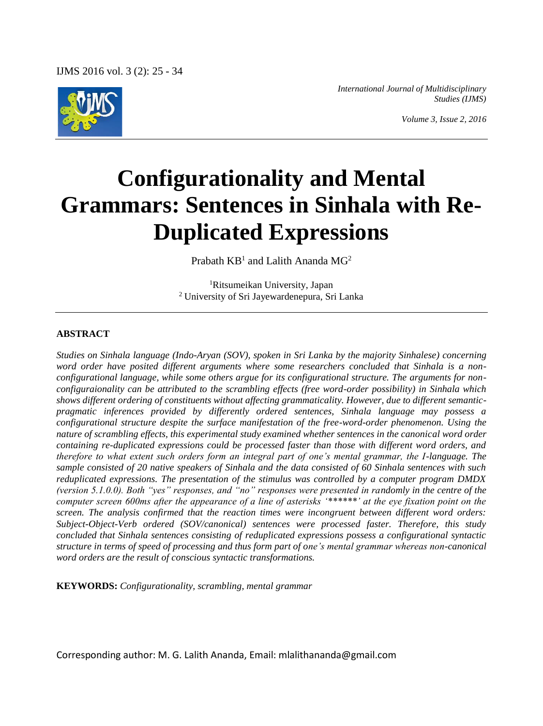

*International Journal of Multidisciplinary Studies (IJMS)*

# **Configurationality and Mental Grammars: Sentences in Sinhala with Re-Duplicated Expressions**

Prabath KB<sup>1</sup> and Lalith Ananda MG<sup>2</sup>

<sup>1</sup>Ritsumeikan University, Japan <sup>2</sup> University of Sri Jayewardenepura, Sri Lanka

#### **ABSTRACT**

*Studies on Sinhala language (Indo-Aryan (SOV), spoken in Sri Lanka by the majority Sinhalese) concerning word order have posited different arguments where some researchers concluded that Sinhala is a nonconfigurational language, while some others argue for its configurational structure. The arguments for nonconfiguraionality can be attributed to the scrambling effects (free word-order possibility) in Sinhala which shows different ordering of constituents without affecting grammaticality. However, due to different semanticpragmatic inferences provided by differently ordered sentences, Sinhala language may possess a configurational structure despite the surface manifestation of the free-word-order phenomenon. Using the nature of scrambling effects, this experimental study examined whether sentences in the canonical word order containing re-duplicated expressions could be processed faster than those with different word orders, and therefore to what extent such orders form an integral part of one's mental grammar, the I-language. The sample consisted of 20 native speakers of Sinhala and the data consisted of 60 Sinhala sentences with such reduplicated expressions. The presentation of the stimulus was controlled by a computer program DMDX (version 5.1.0.0). Both "yes" responses, and "no" responses were presented in randomly in the centre of the computer screen 600ms after the appearance of a line of asterisks '\*\*\*\*\*\*' at the eye fixation point on the screen. The analysis confirmed that the reaction times were incongruent between different word orders: Subject-Object-Verb ordered (SOV/canonical) sentences were processed faster. Therefore, this study concluded that Sinhala sentences consisting of reduplicated expressions possess a configurational syntactic structure in terms of speed of processing and thus form part of one's mental grammar whereas non-canonical word orders are the result of conscious syntactic transformations.*

**KEYWORDS:** *Configurationality, scrambling, mental grammar*

Corresponding author: M. G. Lalith Ananda, Email: mlalithananda@gmail.com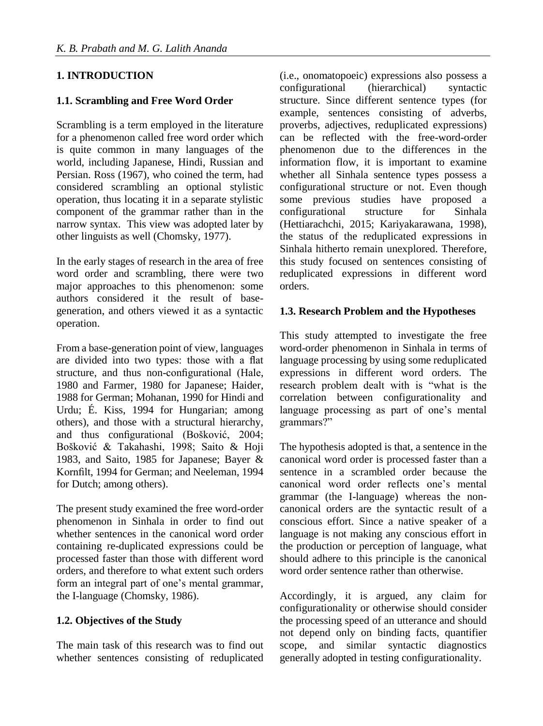# **1. INTRODUCTION**

## **1.1. Scrambling and Free Word Order**

Scrambling is a term employed in the literature for a phenomenon called free word order which is quite common in many languages of the world, including Japanese, Hindi, Russian and Persian. Ross (1967), who coined the term, had considered scrambling an optional stylistic operation, thus locating it in a separate stylistic component of the grammar rather than in the narrow syntax. This view was adopted later by other linguists as well (Chomsky, 1977).

In the early stages of research in the area of free word order and scrambling, there were two major approaches to this phenomenon: some authors considered it the result of basegeneration, and others viewed it as a syntactic operation.

From a base-generation point of view, languages are divided into two types: those with a flat structure, and thus non-configurational (Hale, 1980 and Farmer, 1980 for Japanese; Haider, 1988 for German; Mohanan, 1990 for Hindi and Urdu; É. Kiss, 1994 for Hungarian; among others), and those with a structural hierarchy, and thus configurational (Bošković, 2004; Bošković & Takahashi, 1998; Saito & Hoji 1983, and Saito, 1985 for Japanese; Bayer & Kornfilt, 1994 for German; and Neeleman, 1994 for Dutch; among others).

The present study examined the free word-order phenomenon in Sinhala in order to find out whether sentences in the canonical word order containing re-duplicated expressions could be processed faster than those with different word orders, and therefore to what extent such orders form an integral part of one's mental grammar, the I-language (Chomsky, 1986).

#### **1.2. Objectives of the Study**

The main task of this research was to find out whether sentences consisting of reduplicated

(i.e., onomatopoeic) expressions also possess a configurational (hierarchical) syntactic structure. Since different sentence types (for example, sentences consisting of adverbs, proverbs, adjectives, reduplicated expressions) can be reflected with the free-word-order phenomenon due to the differences in the information flow, it is important to examine whether all Sinhala sentence types possess a configurational structure or not. Even though some previous studies have proposed a configurational structure for Sinhala (Hettiarachchi, 2015; Kariyakarawana, 1998), the status of the reduplicated expressions in Sinhala hitherto remain unexplored. Therefore, this study focused on sentences consisting of reduplicated expressions in different word orders.

## **1.3. Research Problem and the Hypotheses**

This study attempted to investigate the free word-order phenomenon in Sinhala in terms of language processing by using some reduplicated expressions in different word orders. The research problem dealt with is "what is the correlation between configurationality and language processing as part of one's mental grammars?"

The hypothesis adopted is that, a sentence in the canonical word order is processed faster than a sentence in a scrambled order because the canonical word order reflects one's mental grammar (the I-language) whereas the noncanonical orders are the syntactic result of a conscious effort. Since a native speaker of a language is not making any conscious effort in the production or perception of language, what should adhere to this principle is the canonical word order sentence rather than otherwise.

Accordingly, it is argued, any claim for configurationality or otherwise should consider the processing speed of an utterance and should not depend only on binding facts, quantifier scope, and similar syntactic diagnostics generally adopted in testing configurationality.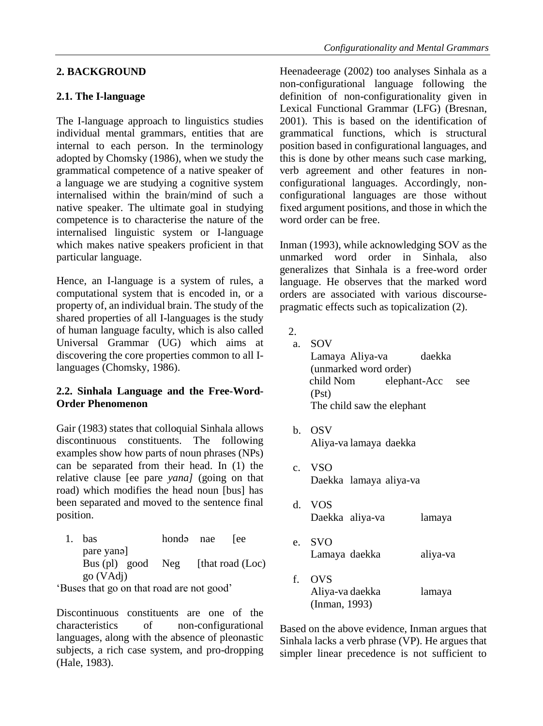#### **2. BACKGROUND**

## **2.1. The I-language**

The I-language approach to linguistics studies individual mental grammars, entities that are internal to each person. In the terminology adopted by Chomsky (1986), when we study the grammatical competence of a native speaker of a language we are studying a cognitive system internalised within the brain/mind of such a native speaker. The ultimate goal in studying competence is to characterise the nature of the internalised linguistic system or I-language which makes native speakers proficient in that particular language.

Hence, an I-language is a system of rules, a computational system that is encoded in, or a property of, an individual brain. The study of the shared properties of all I-languages is the study of human language faculty, which is also called Universal Grammar (UG) which aims at discovering the core properties common to all Ilanguages (Chomsky, 1986).

## **2.2. Sinhala Language and the Free-Word-Order Phenomenon**

Gair (1983) states that colloquial Sinhala allows discontinuous constituents. The following examples show how parts of noun phrases (NPs) can be separated from their head. In (1) the relative clause [ee pare *yana]* (going on that road) which modifies the head noun [bus] has been separated and moved to the sentence final position.

1. bas hondə nae [ee pare yanə] Bus (pl) good Neg [that road  $(Loc)$ go (VAdj)

'Buses that go on that road are not good'

Discontinuous constituents are one of the characteristics of non-configurational languages, along with the absence of pleonastic subjects, a rich case system, and pro-dropping (Hale, 1983).

Heenadeerage (2002) too analyses Sinhala as a non-configurational language following the definition of non-configurationality given in Lexical Functional Grammar (LFG) (Bresnan, 2001). This is based on the identification of grammatical functions, which is structural position based in configurational languages, and this is done by other means such case marking, verb agreement and other features in nonconfigurational languages. Accordingly, nonconfigurational languages are those without fixed argument positions, and those in which the word order can be free.

Inman (1993), while acknowledging SOV as the unmarked word order in Sinhala, also generalizes that Sinhala is a free-word order language. He observes that the marked word orders are associated with various discoursepragmatic effects such as topicalization (2).

 $2<sup>1</sup>$ 

a. SOV Lamaya Aliya-va daekka (unmarked word order) child Nom elephant-Acc see (Pst) The child saw the elephant

- b. OSV Aliya-va lamaya daekka
- c. VSO Daekka lamaya aliya-va
- d. VOS Daekka aliya-va lamaya
- e. SVO Lamaya daekka aliya-va
- f. OVS Aliya-va daekka lamaya (Inman, 1993)

Based on the above evidence, Inman argues that Sinhala lacks a verb phrase (VP). He argues that simpler linear precedence is not sufficient to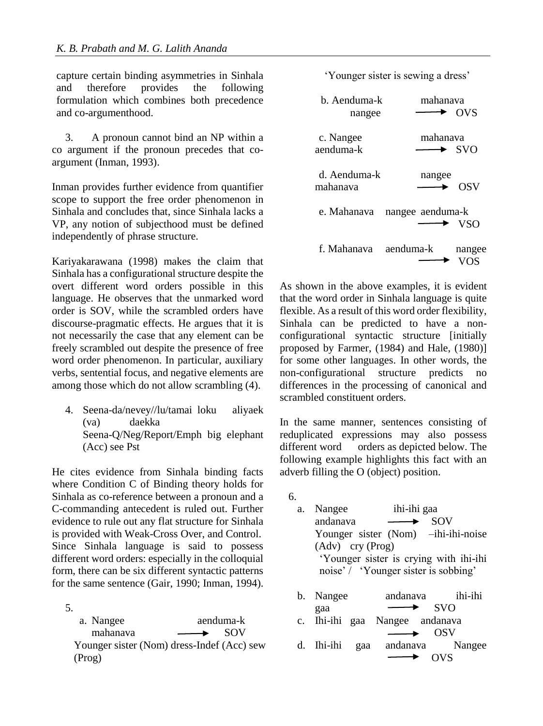capture certain binding asymmetries in Sinhala and therefore provides the following formulation which combines both precedence and co-argumenthood.

3. A pronoun cannot bind an NP within a co argument if the pronoun precedes that coargument (Inman, 1993).

Inman provides further evidence from quantifier scope to support the free order phenomenon in Sinhala and concludes that, since Sinhala lacks a VP, any notion of subjecthood must be defined independently of phrase structure.

Kariyakarawana (1998) makes the claim that Sinhala has a configurational structure despite the overt different word orders possible in this language. He observes that the unmarked word order is SOV, while the scrambled orders have discourse-pragmatic effects. He argues that it is not necessarily the case that any element can be freely scrambled out despite the presence of free word order phenomenon. In particular, auxiliary verbs, sentential focus, and negative elements are among those which do not allow scrambling (4).

4. Seena-da/nevey//lu/tamai loku aliyaek (va) daekka Seena-Q/Neg/Report/Emph big elephant (Acc) see Pst

He cites evidence from Sinhala binding facts where Condition C of Binding theory holds for Sinhala as co-reference between a pronoun and a C-commanding antecedent is ruled out. Further evidence to rule out any flat structure for Sinhala is provided with Weak-Cross Over, and Control. Since Sinhala language is said to possess different word orders: especially in the colloquial form, there can be six different syntactic patterns for the same sentence (Gair, 1990; Inman, 1994).

5. a. Nangee aenduma-k mahanava — SOV Younger sister (Nom) dress-Indef (Acc) sew (Prog)



| b Aenduma-k  | mahanaya                       |
|--------------|--------------------------------|
| nangee       | OVS                            |
| c. Nangee    | mahanaya                       |
| aenduma-k    | $\blacktriangleright$ SVO      |
| d. Aenduma-k | nangee                         |
| mahanava     | OSV                            |
| e. Mahanava  | nangee aenduma-k<br><b>VSO</b> |
| f. Mahanaya  | aenduma-k<br>nangee            |

As shown in the above examples, it is evident that the word order in Sinhala language is quite flexible. As a result of this word order flexibility, Sinhala can be predicted to have a nonconfigurational syntactic structure [initially proposed by Farmer, (1984) and Hale, (1980)] for some other languages. In other words, the non-configurational structure predicts no differences in the processing of canonical and scrambled constituent orders.

In the same manner, sentences consisting of reduplicated expressions may also possess different word orders as depicted below. The following example highlights this fact with an adverb filling the O (object) position.

- 6.
	- a. Nangee ihi-ihi gaa andanava — SOV Younger sister (Nom) –ihi-ihi-noise (Adv) cry (Prog) 'Younger sister is crying with ihi-ihi noise' / 'Younger sister is sobbing' b. Nangee andanava ihi-ihi
	- gaa SVO c. Ihi-ihi gaa Nangee andanava OSV d. Ihi-ihi gaa andanava Nangee OVS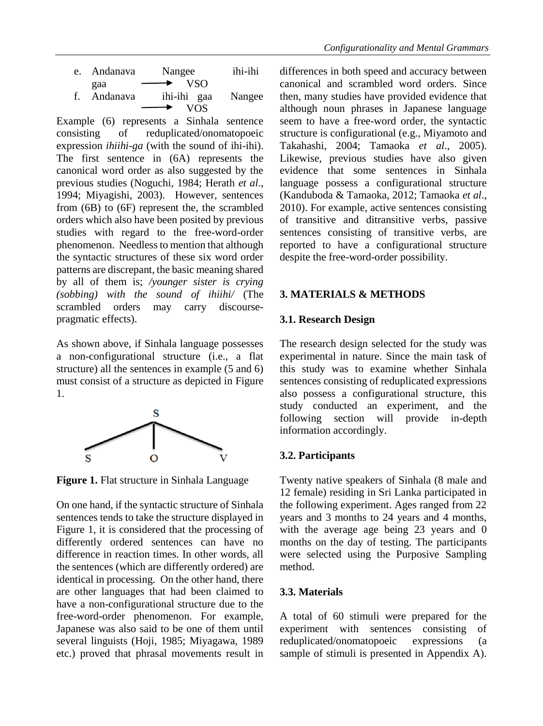Example (6) represents a Sinhala sentence consisting of reduplicated/onomatopoeic expression *ihiihi-ga* (with the sound of ihi-ihi). The first sentence in (6A) represents the canonical word order as also suggested by the previous studies (Noguchi, 1984; Herath *et al*., 1994; Miyagishi, 2003). However, sentences from (6B) to (6F) represent the, the scrambled orders which also have been posited by previous studies with regard to the free-word-order phenomenon. Needless to mention that although the syntactic structures of these six word order patterns are discrepant, the basic meaning shared by all of them is; */younger sister is crying (sobbing) with the sound of ihiihi/* (The scrambled orders may carry discoursepragmatic effects).

As shown above, if Sinhala language possesses a non-configurational structure (i.e., a flat structure) all the sentences in example (5 and 6) must consist of a structure as depicted in Figure 1.



**Figure 1.** Flat structure in Sinhala Language

On one hand, if the syntactic structure of Sinhala sentences tends to take the structure displayed in Figure 1, it is considered that the processing of differently ordered sentences can have no difference in reaction times. In other words, all the sentences (which are differently ordered) are identical in processing. On the other hand, there are other languages that had been claimed to have a non-configurational structure due to the free-word-order phenomenon. For example, Japanese was also said to be one of them until several linguists (Hoji, 1985; Miyagawa, 1989 etc.) proved that phrasal movements result in

differences in both speed and accuracy between canonical and scrambled word orders. Since then, many studies have provided evidence that although noun phrases in Japanese language seem to have a free-word order, the syntactic structure is configurational (e.g., Miyamoto and Takahashi, 2004; Tamaoka *et al*., 2005). Likewise, previous studies have also given evidence that some sentences in Sinhala language possess a configurational structure (Kanduboda & Tamaoka, 2012; Tamaoka *et al*., 2010). For example, active sentences consisting of transitive and ditransitive verbs, passive sentences consisting of transitive verbs, are reported to have a configurational structure despite the free-word-order possibility.

## **3. MATERIALS & METHODS**

#### **3.1. Research Design**

The research design selected for the study was experimental in nature. Since the main task of this study was to examine whether Sinhala sentences consisting of reduplicated expressions also possess a configurational structure, this study conducted an experiment, and the following section will provide in-depth information accordingly.

## **3.2. Participants**

Twenty native speakers of Sinhala (8 male and 12 female) residing in Sri Lanka participated in the following experiment. Ages ranged from 22 years and 3 months to 24 years and 4 months, with the average age being 23 years and 0 months on the day of testing. The participants were selected using the Purposive Sampling method.

## **3.3. Materials**

A total of 60 stimuli were prepared for the experiment with sentences consisting of reduplicated/onomatopoeic expressions (a sample of stimuli is presented in Appendix A).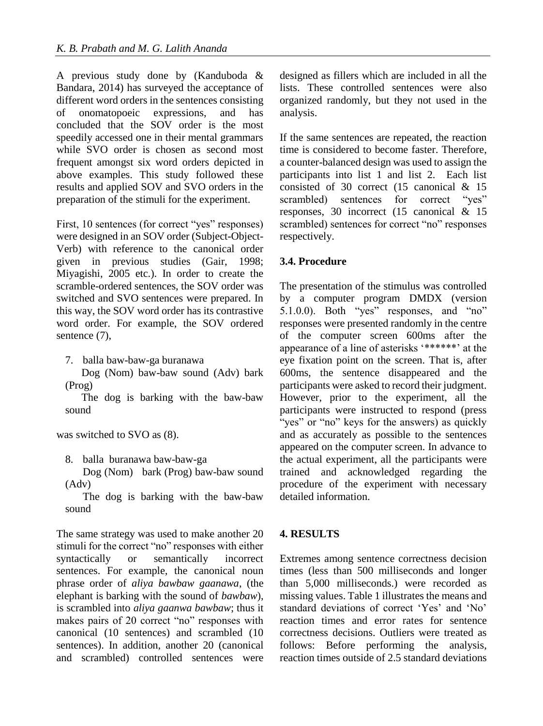A previous study done by (Kanduboda & Bandara, 2014) has surveyed the acceptance of different word orders in the sentences consisting of onomatopoeic expressions, and has concluded that the SOV order is the most speedily accessed one in their mental grammars while SVO order is chosen as second most frequent amongst six word orders depicted in above examples. This study followed these results and applied SOV and SVO orders in the preparation of the stimuli for the experiment.

First, 10 sentences (for correct "yes" responses) were designed in an SOV order (Subject-Object-Verb) with reference to the canonical order given in previous studies (Gair, 1998; Miyagishi, 2005 etc.). In order to create the scramble-ordered sentences, the SOV order was switched and SVO sentences were prepared. In this way, the SOV word order has its contrastive word order. For example, the SOV ordered sentence  $(7)$ ,

7. balla baw-baw-ga buranawa

 Dog (Nom) baw-baw sound (Adv) bark (Prog)

 The dog is barking with the baw-baw sound

was switched to SVO as (8).

8. balla buranawa baw-baw-ga

Dog (Nom) bark (Prog) baw-baw sound (Adv)

The dog is barking with the baw-baw sound

The same strategy was used to make another 20 stimuli for the correct "no" responses with either syntactically or semantically incorrect sentences. For example, the canonical noun phrase order of *aliya bawbaw gaanawa*, (the elephant is barking with the sound of *bawbaw*), is scrambled into *aliya gaanwa bawbaw*; thus it makes pairs of 20 correct "no" responses with canonical (10 sentences) and scrambled (10 sentences). In addition, another 20 (canonical and scrambled) controlled sentences were

designed as fillers which are included in all the lists. These controlled sentences were also organized randomly, but they not used in the analysis.

If the same sentences are repeated, the reaction time is considered to become faster. Therefore, a counter-balanced design was used to assign the participants into list 1 and list 2. Each list consisted of 30 correct (15 canonical & 15 scrambled) sentences for correct "yes" responses, 30 incorrect (15 canonical & 15 scrambled) sentences for correct "no" responses respectively.

#### **3.4. Procedure**

The presentation of the stimulus was controlled by a computer program DMDX (version 5.1.0.0). Both "yes" responses, and "no" responses were presented randomly in the centre of the computer screen 600ms after the appearance of a line of asterisks '\*\*\*\*\*\*' at the eye fixation point on the screen. That is, after 600ms, the sentence disappeared and the participants were asked to record their judgment. However, prior to the experiment, all the participants were instructed to respond (press "yes" or "no" keys for the answers) as quickly and as accurately as possible to the sentences appeared on the computer screen. In advance to the actual experiment, all the participants were trained and acknowledged regarding the procedure of the experiment with necessary detailed information.

#### **4. RESULTS**

Extremes among sentence correctness decision times (less than 500 milliseconds and longer than 5,000 milliseconds.) were recorded as missing values. Table 1 illustrates the means and standard deviations of correct 'Yes' and 'No' reaction times and error rates for sentence correctness decisions. Outliers were treated as follows: Before performing the analysis, reaction times outside of 2.5 standard deviations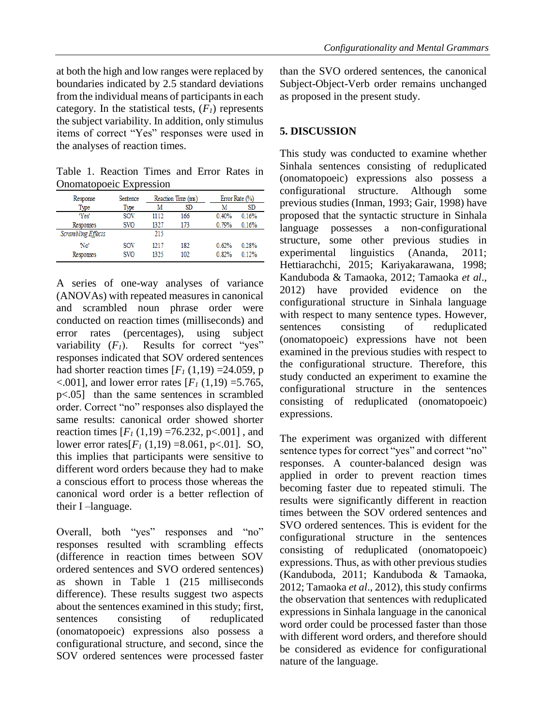at both the high and low ranges were replaced by boundaries indicated by 2.5 standard deviations from the individual means of participants in each category. In the statistical tests,  $(F<sub>I</sub>)$  represents the subject variability. In addition, only stimulus items of correct "Yes" responses were used in the analyses of reaction times.

Table 1. Reaction Times and Error Rates in Onomatopoeic Expression

| Response                  | Sentence   | Reaction Time (ms) |     |       | Error Rate (%) |  |
|---------------------------|------------|--------------------|-----|-------|----------------|--|
| Type                      | Type       | M                  | SD  | M     | SD             |  |
| 'Yes'                     | SOV        | 1112               | 166 | 0.40% | 0.16%          |  |
| Responses                 | <b>SVO</b> | 1327               | 173 | 0.79% | 0.16%          |  |
| <b>Scrambling Effects</b> |            | 215                |     |       |                |  |
| 'No                       | sov        | 1217               | 182 | 0.62% | 0.28%          |  |
| Responses                 | <b>SVO</b> | 1325               | 102 | 0.82% | 0.12%          |  |

A series of one-way analyses of variance (ANOVAs) with repeated measures in canonical and scrambled noun phrase order were conducted on reaction times (milliseconds) and error rates (percentages), using subject variability  $(F_1)$ . Results for correct "yes" responses indicated that SOV ordered sentences had shorter reaction times  $[F<sub>1</sub>(1,19) = 24.059$ , p  $< .001$ ], and lower error rates [ $F_I$  (1,19) = 5.765, p<.05] than the same sentences in scrambled order. Correct "no" responses also displayed the same results: canonical order showed shorter reaction times  $[F_1(1,19) = 76.232, p < 0.001]$ , and lower error rates $[F_1(1,19) = 8.061, p<0.01]$ . SO, this implies that participants were sensitive to different word orders because they had to make a conscious effort to process those whereas the canonical word order is a better reflection of their I –language.

Overall, both "yes" responses and "no" responses resulted with scrambling effects (difference in reaction times between SOV ordered sentences and SVO ordered sentences) as shown in Table 1 (215 milliseconds difference). These results suggest two aspects about the sentences examined in this study; first, sentences consisting of reduplicated (onomatopoeic) expressions also possess a configurational structure, and second, since the SOV ordered sentences were processed faster than the SVO ordered sentences, the canonical Subject-Object-Verb order remains unchanged as proposed in the present study.

# **5. DISCUSSION**

This study was conducted to examine whether Sinhala sentences consisting of reduplicated (onomatopoeic) expressions also possess a configurational structure. Although some previous studies (Inman, 1993; Gair, 1998) have proposed that the syntactic structure in Sinhala language possesses a non-configurational structure, some other previous studies in experimental linguistics (Ananda, 2011; Hettiarachchi, 2015; Kariyakarawana, 1998; Kanduboda & Tamaoka, 2012; Tamaoka *et al*., 2012) have provided evidence on the configurational structure in Sinhala language with respect to many sentence types. However, sentences consisting of reduplicated (onomatopoeic) expressions have not been examined in the previous studies with respect to the configurational structure. Therefore, this study conducted an experiment to examine the configurational structure in the sentences consisting of reduplicated (onomatopoeic) expressions.

The experiment was organized with different sentence types for correct "yes" and correct "no" responses. A counter-balanced design was applied in order to prevent reaction times becoming faster due to repeated stimuli. The results were significantly different in reaction times between the SOV ordered sentences and SVO ordered sentences. This is evident for the configurational structure in the sentences consisting of reduplicated (onomatopoeic) expressions. Thus, as with other previous studies (Kanduboda, 2011; Kanduboda & Tamaoka, 2012; Tamaoka *et al*., 2012), this study confirms the observation that sentences with reduplicated expressions in Sinhala language in the canonical word order could be processed faster than those with different word orders, and therefore should be considered as evidence for configurational nature of the language.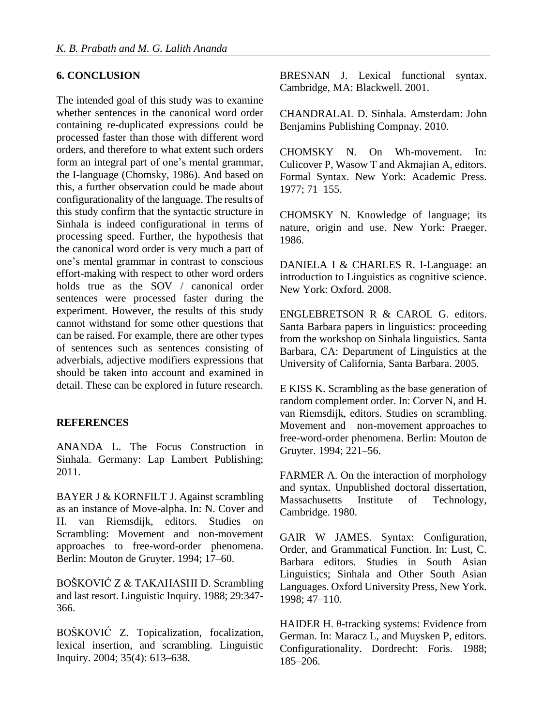#### **6. CONCLUSION**

The intended goal of this study was to examine whether sentences in the canonical word order containing re-duplicated expressions could be processed faster than those with different word orders, and therefore to what extent such orders form an integral part of one's mental grammar, the I-language (Chomsky, 1986). And based on this, a further observation could be made about configurationality of the language. The results of this study confirm that the syntactic structure in Sinhala is indeed configurational in terms of processing speed. Further, the hypothesis that the canonical word order is very much a part of one's mental grammar in contrast to conscious effort-making with respect to other word orders holds true as the SOV / canonical order sentences were processed faster during the experiment. However, the results of this study cannot withstand for some other questions that can be raised. For example, there are other types of sentences such as sentences consisting of adverbials, adjective modifiers expressions that should be taken into account and examined in detail. These can be explored in future research.

#### **REFERENCES**

ANANDA L. The Focus Construction in Sinhala. Germany: Lap Lambert Publishing; 2011.

BAYER J & KORNFILT J. Against scrambling as an instance of Move-alpha. In: N. Cover and H. van Riemsdijk, editors. Studies on Scrambling: Movement and non-movement approaches to free-word-order phenomena. Berlin: Mouton de Gruyter. 1994; 17–60.

BOŠKOVIĆ Z & TAKAHASHI D. Scrambling and last resort. Linguistic Inquiry. 1988; 29:347- 366.

BOŠKOVIĆ Z. Topicalization, focalization, lexical insertion, and scrambling. Linguistic Inquiry. 2004; 35(4): 613–638.

BRESNAN J. Lexical functional syntax. Cambridge, MA: Blackwell. 2001.

CHANDRALAL D. Sinhala. Amsterdam: John Benjamins Publishing Compnay. 2010.

CHOMSKY N. On Wh-movement. In: Culicover P, Wasow T and Akmajian A, editors. Formal Syntax. New York: Academic Press. 1977; 71–155.

CHOMSKY N. Knowledge of language; its nature, origin and use. New York: Praeger. 1986.

DANIELA I & CHARLES R. I-Language: an introduction to Linguistics as cognitive science. New York: Oxford. 2008.

ENGLEBRETSON R & CAROL G. editors. Santa Barbara papers in linguistics: proceeding from the workshop on Sinhala linguistics. Santa Barbara, CA: Department of Linguistics at the University of California, Santa Barbara. 2005.

E KISS K. Scrambling as the base generation of random complement order. In: Corver N, and H. van Riemsdijk, editors. Studies on scrambling. Movement and non-movement approaches to free-word-order phenomena. Berlin: Mouton de Gruyter. 1994; 221–56.

FARMER A. On the interaction of morphology and syntax. Unpublished doctoral dissertation, Massachusetts Institute of Technology, Cambridge. 1980.

GAIR W JAMES. Syntax: Configuration, Order, and Grammatical Function. In: Lust, C. Barbara editors. Studies in South Asian Linguistics; Sinhala and Other South Asian Languages. Oxford University Press, New York. 1998; 47–110.

HAIDER H. θ-tracking systems: Evidence from German. In: Maracz L, and Muysken P, editors. Configurationality. Dordrecht: Foris. 1988; 185–206.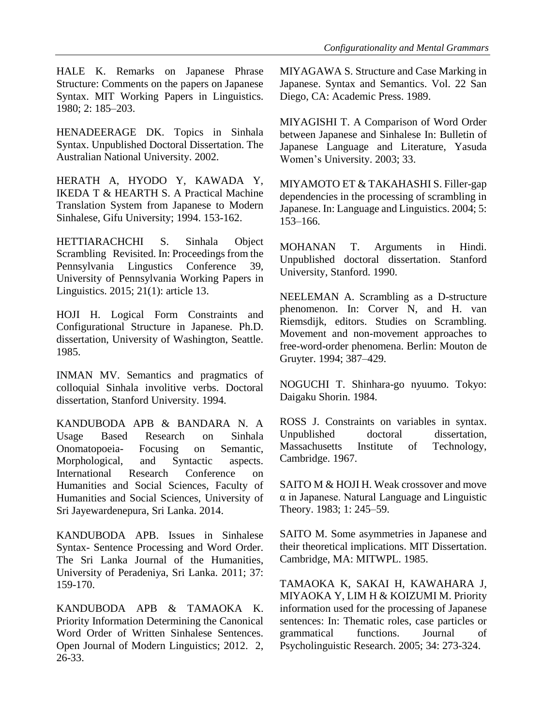HALE K. Remarks on Japanese Phrase Structure: Comments on the papers on Japanese Syntax. MIT Working Papers in Linguistics. 1980; 2: 185–203.

HENADEERAGE DK. Topics in Sinhala Syntax. Unpublished Doctoral Dissertation. The Australian National University. 2002.

HERATH A, HYODO Y, KAWADA Y, IKEDA T & HEARTH S. A Practical Machine Translation System from Japanese to Modern Sinhalese, Gifu University; 1994. 153-162.

HETTIARACHCHI S. Sinhala Object Scrambling Revisited. In: Proceedings from the Pennsylvania Lingustics Conference 39, University of Pennsylvania Working Papers in Linguistics. 2015; 21(1): article 13.

HOJI H. Logical Form Constraints and Configurational Structure in Japanese. Ph.D. dissertation, University of Washington, Seattle. 1985.

INMAN MV. Semantics and pragmatics of colloquial Sinhala involitive verbs. Doctoral dissertation, Stanford University. 1994.

KANDUBODA APB & BANDARA N. A Usage Based Research on Sinhala Onomatopoeia- Focusing on Semantic, Morphological, and Syntactic aspects. International Research Conference on Humanities and Social Sciences, Faculty of Humanities and Social Sciences, University of Sri Jayewardenepura, Sri Lanka. 2014.

KANDUBODA APB. Issues in Sinhalese Syntax- Sentence Processing and Word Order. The Sri Lanka Journal of the Humanities, University of Peradeniya, Sri Lanka. 2011; 37: 159-170.

KANDUBODA APB & TAMAOKA K. Priority Information Determining the Canonical Word Order of Written Sinhalese Sentences. Open Journal of Modern Linguistics; 2012. 2,  $26 - 33$ .

MIYAGAWA S. Structure and Case Marking in Japanese. Syntax and Semantics. Vol. 22 San Diego, CA: Academic Press. 1989.

MIYAGISHI T. A Comparison of Word Order between Japanese and Sinhalese In: Bulletin of Japanese Language and Literature, Yasuda Women's University. 2003; 33.

MIYAMOTO ET & TAKAHASHI S. Filler-gap dependencies in the processing of scrambling in Japanese. In: Language and Linguistics. 2004; 5: 153–166.

MOHANAN T. Arguments in Hindi. Unpublished doctoral dissertation. Stanford University, Stanford. 1990.

NEELEMAN A. Scrambling as a D-structure phenomenon. In: Corver N, and H. van Riemsdijk, editors. Studies on Scrambling. Movement and non-movement approaches to free-word-order phenomena. Berlin: Mouton de Gruyter. 1994; 387–429.

NOGUCHI T. Shinhara-go nyuumo. Tokyo: Daigaku Shorin. 1984.

ROSS J. Constraints on variables in syntax. Unpublished doctoral dissertation. Massachusetts Institute of Technology, Cambridge. 1967.

SAITO M & HOJI H. Weak crossover and move α in Japanese. Natural Language and Linguistic Theory. 1983; 1: 245–59.

SAITO M. Some asymmetries in Japanese and their theoretical implications. MIT Dissertation. Cambridge, MA: MITWPL. 1985.

TAMAOKA K, SAKAI H, KAWAHARA J, MIYAOKA Y, LIM H & KOIZUMI M. Priority information used for the processing of Japanese sentences: In: Thematic roles, case particles or grammatical functions. Journal of Psycholinguistic Research. 2005; 34: 273-324.